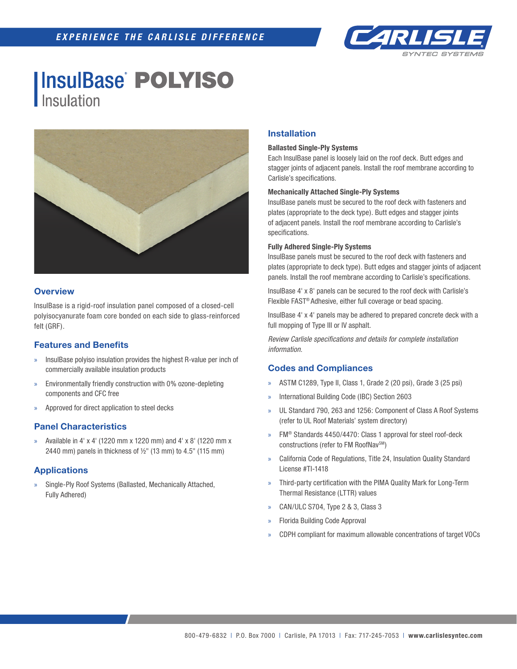

# **InsulBase POLYISO** Insulation



## **Overview**

InsulBase is a rigid-roof insulation panel composed of a closed-cell polyisocyanurate foam core bonded on each side to glass-reinforced felt (GRF).

## **Features and Benefits**

- » InsulBase polyiso insulation provides the highest R-value per inch of commercially available insulation products
- » Environmentally friendly construction with 0% ozone-depleting components and CFC free
- » Approved for direct application to steel decks

## **Panel Characteristics**

» Available in 4' x 4' (1220 mm x 1220 mm) and 4' x 8' (1220 mm x 2440 mm) panels in thickness of  $\frac{1}{2}$ " (13 mm) to 4.5" (115 mm)

## **Applications**

» Single-Ply Roof Systems (Ballasted, Mechanically Attached, Fully Adhered)

### **Installation**

#### **Ballasted Single-Ply Systems**

Each InsulBase panel is loosely laid on the roof deck. Butt edges and stagger joints of adjacent panels. Install the roof membrane according to Carlisle's specifications.

#### **Mechanically Attached Single-Ply Systems**

InsulBase panels must be secured to the roof deck with fasteners and plates (appropriate to the deck type). Butt edges and stagger joints of adjacent panels. Install the roof membrane according to Carlisle's specifications.

#### **Fully Adhered Single-Ply Systems**

InsulBase panels must be secured to the roof deck with fasteners and plates (appropriate to deck type). Butt edges and stagger joints of adjacent panels. Install the roof membrane according to Carlisle's specifications.

InsulBase 4' x 8' panels can be secured to the roof deck with Carlisle's Flexible FAST® Adhesive, either full coverage or bead spacing.

InsulBase 4' x 4' panels may be adhered to prepared concrete deck with a full mopping of Type III or IV asphalt.

*Review Carlisle specifications and details for complete installation information.*

### **Codes and Compliances**

- » ASTM C1289, Type II, Class 1, Grade 2 (20 psi), Grade 3 (25 psi)
- » International Building Code (IBC) Section 2603
- » UL Standard 790, 263 and 1256: Component of Class A Roof Systems (refer to UL Roof Materials' system directory)
- » FM® Standards 4450/4470: Class 1 approval for steel roof-deck constructions (refer to FM RoofNav<sup>SM</sup>)
- » California Code of Regulations, Title 24, Insulation Quality Standard License #TI-1418
- » Third-party certification with the PIMA Quality Mark for Long-Term Thermal Resistance (LTTR) values
- » CAN/ULC S704, Type 2 & 3, Class 3
- » Florida Building Code Approval
- » CDPH compliant for maximum allowable concentrations of target VOCs